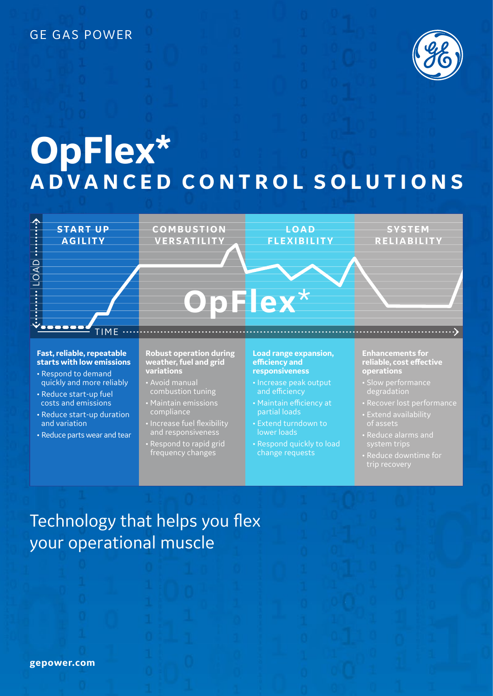### GE GAS POWER



# **OpFlex\* ADVANCED CONTROL SOLUTIONS**



- Reduce start-up duration and variation
- Reduce parts wear and tear
- compliance
- Increase fuel flexibility and responsiveness
- Respond to rapid grid frequency changes
- partial loads
- Extend turndown to lower loads
- Respond quickly to load change requests
- 
- Extend availability of assets
- Reduce alarms and system trips
- 

# Technology that helps you flex your operational muscle

**gepower.com**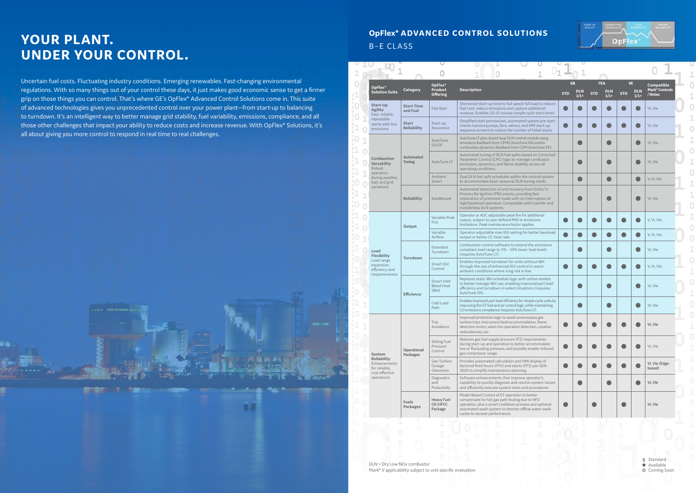## **YOUR PLANT. UNDER YOUR CONTROL.**

Uncertain fuel costs. Fluctuating industry conditions. Emerging renewables. Fast-changing environmental regulations. With so many things out of your control these days, it just makes good economic sense to get a firmer grip on those things you can control. That's where GE's OpFlex\* Advanced Control Solutions come in. This suite of advanced technologies gives you unprecedented control over your power plant—from start-up to balancing to turndown. It's an intelligent way to better manage grid stability, fuel variability, emissions, compliance, and all those other challenges that impact your ability to reduce costs and increase revenue. With OpFlex\* Solutions, it's all about giving you more control to respond in real time to real challenges.

|  | OpFlex*<br><b>Solution Suite</b>                                                                                  | Category                           | OpFlex*<br>Product<br><b>Offering</b>     | <b>Description</b>                                                                                                                                                                                                                                 | 6 <b>B</b><br><b>STD</b> | <b>DLN</b><br>$1/1+$ | <b>STD</b> | 7EA<br><b>DLN</b><br>$1/1+$ | 9E<br><b>STD</b> | <b>DLN</b><br>$1/1+$ | Compatible<br><b>Mark*Controls</b><br>/ Notes |  |
|--|-------------------------------------------------------------------------------------------------------------------|------------------------------------|-------------------------------------------|----------------------------------------------------------------------------------------------------------------------------------------------------------------------------------------------------------------------------------------------------|--------------------------|----------------------|------------|-----------------------------|------------------|----------------------|-----------------------------------------------|--|
|  | Start-Up<br><b>Agility</b><br>Fast, reliable,                                                                     | <b>Start Time</b><br>and Fuel      |                                           | Shortened start-up time to full speed-full load to reduce<br>fuel cost, reduce emissions and capture additional<br>revenue. Enables 10-15 minute simple cycle start times.                                                                         |                          |                      |            |                             |                  |                      | VI, VIe                                       |  |
|  | repeatable<br>starts with low<br>emissions                                                                        | <b>Start</b><br><b>Reliability</b> | Start-up<br>Assurance                     | Simplified start permissives, automated system pre-start<br>checks (various pumps, fans, valves), and HMI start-up<br>sequence screens to reduce the number of failed starts.                                                                      |                          |                      |            |                             |                  |                      | VI, VIe                                       |  |
|  | <b>Combustion</b><br><b>Versatility</b><br>Robust<br>operation<br>during weather,<br>fuel, and grid<br>variations | <b>Automated</b><br><b>Tuning</b>  | AutoTune<br>DX/DF                         | AutoTune LT plus closed-loop DLN control module using<br>emissions feedback from CEMS (AutoTune DX) and/or<br>combustion dynamics feedback from CDM (AutoTune DF).                                                                                 |                          |                      |            |                             |                  |                      | VI, VIe                                       |  |
|  |                                                                                                                   |                                    | AutoTune LT                               | Automated tuning of DLN fuel splits based on Corrected<br>Parameter Control (CPC) logic to manage combustor<br>emissions, dynamics, and flame stability across all<br>operating conditions.                                                        |                          |                      |            |                             |                  |                      | VI, VIe                                       |  |
|  |                                                                                                                   |                                    | Ambient<br>Select                         | Dual DLN fuel split schedules within the control system<br>to accommodate basic seasonal DLN tuning needs.                                                                                                                                         |                          |                      |            |                             |                  |                      | V, VI, VIe                                    |  |
|  |                                                                                                                   | <b>Reliability</b>                 | AutoRecover                               | Automated detection of and recovery from DLN1/1+<br>Primary Re-Ignition (PRI) events, providing fast<br>restoration of premixed mode with no interruption of<br>high/baseload operation. Compatible with transfer and<br>transferless DLN systems. |                          |                      |            |                             |                  |                      | VI, VIe                                       |  |
|  | Load<br><b>Flexibility</b><br>Load range<br>expansion,<br>efficiency and<br>responsiveness                        | Output                             | Variable Peak<br>Fire                     | Operator or AGC adjustable peak fire for additional<br>output, subject to user defined MW or emissions<br>limitations. Peak maintenance factor applies.                                                                                            |                          |                      |            |                             |                  |                      | V, VI, VIe                                    |  |
|  |                                                                                                                   |                                    | Variable<br>Airflow                       | Operator adjustable max IGV setting for better baseload<br>output or better CC heat rate.                                                                                                                                                          |                          |                      |            |                             |                  |                      | V, VI, VIe                                    |  |
|  |                                                                                                                   | <b>Turndown</b>                    | Extended<br>Turndown                      | Combustion control software to extend the emissions<br>compliant load range to 5% - 10% lower load levels<br>(requires AutoTune LT).                                                                                                               |                          |                      |            |                             |                  |                      | VI, VIe                                       |  |
|  |                                                                                                                   |                                    | Smart IGV<br>Control                      | Enables improved turndown for units without IBH<br>through the use of enhanced IGV control in warm<br>ambient conditions where icing risk is low.                                                                                                  |                          |                      |            |                             |                  |                      | V, VI, VIe                                    |  |
|  |                                                                                                                   | <b>Efficiency</b>                  | Smart Inlet<br><b>Bleed Heat</b><br>(IBH) | Replaces static IBH schedule logic with online models<br>to better manage IBH use, enabling improved part load<br>efficiency and turndown in select situations (requires<br>AutoTune DX).                                                          |                          |                      |            |                             |                  |                      | VI, VIe                                       |  |
|  |                                                                                                                   |                                    | Cold Load<br>Path                         | Enables improved part load efficiency for simple cycle units by<br>improving the GT fuel and air control logic while maintaining<br>CO emissions compliance (requires AutoTune LT).                                                                |                          |                      |            |                             |                  |                      | VI, VIe                                       |  |
|  | System                                                                                                            |                                    | Trip<br>Avoidance                         | Improved protection logic to avoid unnecessary gas<br>turbine trips. Instrument fault accommodation, flame<br>detection errors, valve mis-operation detection, creative<br>redundancies, etc.                                                      |                          |                      |            |                             |                  |                      | VI, VIe                                       |  |
|  |                                                                                                                   | Operational<br><b>Packages</b>     | Sliding Fuel<br>Pressure<br>Control       | Reduces gas fuel supply pressure (P2) requirements<br>during start-up and operation to better accommodate<br>low or fluctuating pressure, and possibly enable reduced<br>gas compressor usage.                                                     |                          |                      |            |                             |                  |                      | VI, VIe                                       |  |
|  | <b>Reliability</b><br>Enhancements<br>for reliable.<br>cost effective                                             |                                    | Gas Turbine<br>Outage<br>Odometer         | Provides automated calculation and HMI display of<br>factored fired hours (FFH) and starts (FFS) per GER-<br>3620 to simplify maintenance planning.                                                                                                |                          |                      |            |                             |                  |                      | VI, VIe (Edge-<br>based)                      |  |
|  | operations                                                                                                        |                                    | Diagnostics<br>and<br>Productivity        | Software enhancements that improve operator's<br>capability to quickly diagnose and resolve system issues<br>and efficiently execute system tests and procedures                                                                                   |                          |                      |            | D                           |                  |                      | VI, VIe                                       |  |
|  |                                                                                                                   | <b>Fuels</b><br>Packages           | Heavy Fuel<br>Oil (HFO)<br>Package        | Model-Based Control of GT operation to better<br>compensate for hot gas path fouling due to HFO<br>operation, plus a smart cooldown process and optional<br>automated wash system to shorten offline water wash<br>cycles to recover performance.  |                          |                      |            |                             |                  |                      | VI, VIe                                       |  |

### **OpFlex\* ADVANCED CONTROL SOLUTIONS** B–E CLASS



Standard **S**Available **O** Coming Soon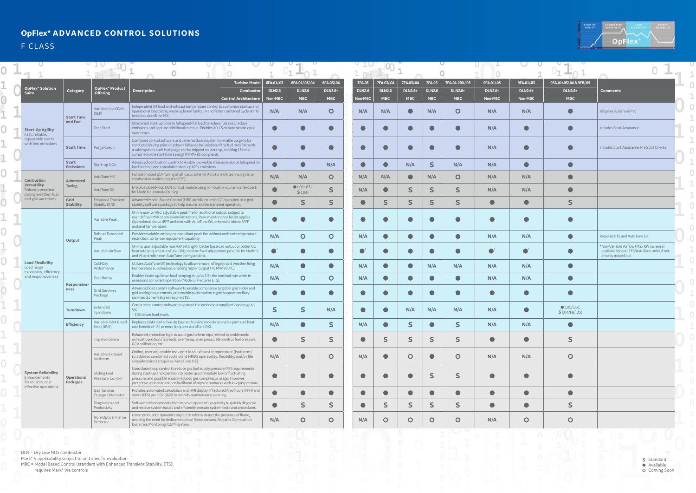DLN = Dry Low NOx combustor

Mark\* V applicability subject to unit specific evaluation

MBC = Model Based Control (standard with Enhanced Transient Stability, ETS); requires Mark\* VIe controls



Standard Available O Coming Soon **S**

1  $\overline{0}$ 

|                                                                                         |                                  |                                       |                                                                                                                                                                                                                                                                                                                        |                          | $-44$                          |                              |                          |                             |                              |                             |                              |                           |                           |                                       |                                                                                                              |
|-----------------------------------------------------------------------------------------|----------------------------------|---------------------------------------|------------------------------------------------------------------------------------------------------------------------------------------------------------------------------------------------------------------------------------------------------------------------------------------------------------------------|--------------------------|--------------------------------|------------------------------|--------------------------|-----------------------------|------------------------------|-----------------------------|------------------------------|---------------------------|---------------------------|---------------------------------------|--------------------------------------------------------------------------------------------------------------|
|                                                                                         |                                  |                                       |                                                                                                                                                                                                                                                                                                                        |                          | $\sim$ matrix (                |                              |                          |                             |                              |                             |                              |                           |                           | $-$ and<br>has $\langle$              |                                                                                                              |
| <b>OpFlex* Solution</b>                                                                 |                                  | OpFlex* Product                       | <b>Turbine Model</b>                                                                                                                                                                                                                                                                                                   | 6FA.01/.03               | 6FA.01/.03/.04                 | 6FA.03/.04                   | <b>7FA.03</b>            | 7FA.03/.04                  | 7FA.03/.04                   | 7FA.05                      | 7FA.04-200 / 05              | 9FA.01/.03                | 9FA.01/.03                | 9FA.01/.03/.04 & 9FB/.05              |                                                                                                              |
| Suite                                                                                   | Category                         | <b>Offering</b>                       | <b>Description</b><br>Combustor<br><b>Control Architecture</b>                                                                                                                                                                                                                                                         | <b>DLN2.6</b><br>Non-MBC | <b>DLN2.6</b><br><b>MBC</b>    | <b>DLN2.6+</b><br><b>MBC</b> | <b>DLN2.6</b><br>Non-MBC | <b>DLN2.6</b><br><b>MBC</b> | <b>DLN2.6+</b><br><b>MBC</b> | <b>DLN2.6</b><br><b>MBC</b> | <b>DLN2.6+</b><br><b>MBC</b> | <b>DLN2.0+</b><br>Non-MBC | <b>DLN2.6+</b><br>Non-MBC | <b>DLN2.6+</b><br><b>MBC</b>          | <b>Comments</b>                                                                                              |
|                                                                                         | <b>Start Time</b><br>and Fuel    | Variable Load Path<br>(VLP)           | Independent GT load and exhaust temperature control to customize startup and<br>operational load paths, enabling lower fuel burn and faster combined cycle starts<br>(requires AutoTune MX).                                                                                                                           | N/A                      | N/A                            | $\circ$                      | N/A                      | N/A                         |                              | N/A                         | $\circ$                      | N/A                       | N/A                       |                                       | Requires AutoTune MX                                                                                         |
| <b>Start-Up Agility</b><br>Fast, reliable,                                              |                                  | Fast Start                            | Shortened start-up time to full speed-full load to reduce fuel cost, reduce<br>emissions and capture additional revenue. Enables 10-15 minute simple cycle<br>start times.                                                                                                                                             | $\bullet$                | $\bullet$                      |                              |                          |                             |                              | $\blacksquare$              | $\blacksquare$               | N/A                       |                           |                                       | Includes Start Assurance                                                                                     |
| repeatable starts<br>with low emissions                                                 | <b>Start Time</b>                | Purge Credit                          | Combined control software and valve hardware system to enable purge to be<br>conducted during prior shutdown, followed by isolation of the fuel manifold with<br>a valve system, such that purge can be skipped on start-up, enabling 15+ min.<br>combined cycle start time savings (NFPA-85 compliant).               | $\bullet$                |                                | r i                          |                          |                             |                              | $\bullet$                   | $\bullet$                    | N/A                       |                           |                                       | Includes Start Assurance, Pre Start Checks                                                                   |
|                                                                                         | <b>Start</b><br><b>Emissions</b> | Start-up NO <sub>x</sub>              | Advanced combustion control to enable low visible emissions above full speed no<br>load and reduced cumulative start-up NOx emissions.                                                                                                                                                                                 |                          | $\bullet$                      | N/A                          | $\bullet$                |                             | N/A                          | $\mathsf{S}$                | N/A                          | N/A                       | $\bullet$                 |                                       |                                                                                                              |
| <b>Combustion</b>                                                                       | <b>Automated</b>                 | AutoTune MX                           | Full automated DLN tuning at all loads; extends AutoTune DX technology to all<br>combustion modes (requires ETS).                                                                                                                                                                                                      | N/A                      | N/A                            | $\circ$                      | N/A                      | N/A                         | $\bullet$                    | N/A                         | $\circ$                      | N/A                       | N/A                       |                                       |                                                                                                              |
| Versatility<br>Robust operation<br>during weather, fuel,                                | Tuning                           | AutoTune DX                           | ETS plus closed-loop DLN control module using combustion dynamics feedback<br>for Mode 6 automated tuning.                                                                                                                                                                                                             | $\bullet$                | $\bullet$ (.01/.03);<br>S(.04) | S                            | N/A                      | O                           | S                            | S                           | S.                           | N/A                       | N/A                       |                                       |                                                                                                              |
| and grid variations                                                                     | Grid<br><b>Stability</b>         | Enhanced Transient<br>Stability (ETS) | Advanced Model-Based Control (MBC) architecture for GT operation plus grid<br>stability software package to help ensure reliable transient operation.                                                                                                                                                                  | $\bullet$                |                                | S                            | $\bullet$                | S                           | S.                           | S                           | $\mathsf S$                  | $\bullet$                 | $\bullet$                 | S                                     |                                                                                                              |
|                                                                                         | Output                           | Variable Peak                         | Online user or AGC adjustable peak fire for additional output, subject to<br>user defined MW or emissions limitations. Peak maintenance factor applies.<br>Operational above 45°F ambient with AutoTune DX, otherwise above 59°F<br>ambient temperature.                                                               |                          | $\bullet$                      |                              |                          |                             |                              | $\blacksquare$              | O                            | œ                         |                           |                                       |                                                                                                              |
|                                                                                         |                                  | Robust Extended<br>Peak               | Provides variable, emissions-compliant peak-fire without ambient temperature<br>restriction, up to max equipment capability                                                                                                                                                                                            | N/A                      | $\circ$                        | $\circ$                      | N/A                      | $\bullet$                   | $\bullet$                    | $\bullet$                   | $\bullet$                    | N/A                       | N/A                       | $\bullet$                             | Requires ETS and AutoTune DX                                                                                 |
|                                                                                         |                                  | Variable Airflow                      | Online, user adjustable max IGV setting for better baseload output or better CC<br>heat rate (requires AutoTune DX); onetime fixed adjustment possible for Mark* V<br>and VI controller, non-AutoTune configurations.                                                                                                  | $\bullet$ <sup>+</sup>   | $\bullet$                      | $\blacksquare$               |                          |                             |                              | $\bullet$                   | $\bullet$                    |                           |                           |                                       | Non-Variable Airflow (Max IGV increase)<br>available for non-ETS/AutoTune units, if not<br>already maxed out |
| <b>Load Flexibility</b><br>Load range<br>expansion, efficiency                          |                                  | Cold-Day<br>Performance               | Utilizes AutoTune DX technology to allow removal of legacy cold weather firing<br>temperature suppression, enabling higher output (+5 MW at 0°C).                                                                                                                                                                      | N/A                      | $\bullet$                      | $\blacksquare$               | N/A                      | Œ                           | $\bullet$                    | N/A                         | N/A                          | N/A                       | N/A                       | $\bullet$                             |                                                                                                              |
| and responsiveness                                                                      | <b>Responsive-</b><br>ness       | Fast Ramp                             | Enables faster up/down load ramping at up to 2.5x the nominal rate while in<br>emissions compliant operation (Mode 6); (requires ETS).                                                                                                                                                                                 | N/A                      | $\circ$                        | $\circ$                      | N/A                      | O                           | $\bullet$                    | $\bullet$                   | $\bullet$                    | N/A                       | N/A                       |                                       |                                                                                                              |
|                                                                                         |                                  | <b>Grid Services</b><br>Package       | Advanced load control software to enable compliance to global grid codes and<br>grid testing requirements, and enable participation in grid support ancillary<br>services (some features require ETS).                                                                                                                 | $\bullet$                | $\bullet$                      |                              |                          |                             |                              | $\bullet$                   | $\bullet$                    | œ                         |                           |                                       |                                                                                                              |
|                                                                                         | Turndown                         | Extended<br>Turndown                  | Combustion control software to extend the emissionscompliant load range to<br>5%<br>-10% lower load levels.                                                                                                                                                                                                            | $\overline{\mathbf{S}}$  | $\mathsf{S}$                   | N/A                          |                          | $\bullet$                   | N/A                          | N/A                         | N/A                          | N/A                       |                           | $\bullet$ (.01/.03);<br>S(.04/FB/.05) |                                                                                                              |
|                                                                                         | <b>Efficiency</b>                | Heat (IBH)                            | Variable Inlet Bleed   Replaces static IBH schedule logic with online models to enable part load heat<br>rate benefit of 1% or more (requires AutoTune DX).                                                                                                                                                            | N/A                      |                                |                              | N/A                      |                             | $\rightarrow$                |                             | ב                            | N/A                       | N/A                       |                                       |                                                                                                              |
|                                                                                         |                                  | Trip Avoidance                        | Enhanced protection logic to avoid gas turbine trips related to problematic<br>exhaust conditions (spreads, over temp., over press.), IBH control, fuel pressure,<br>GCV calibration, etc.                                                                                                                             | $\bullet$                | S                              | S.                           | $\bullet$                | S                           | S                            | S                           | S                            | $\bullet$                 | $\bullet$                 | S                                     |                                                                                                              |
|                                                                                         |                                  | Variable Exhaust<br>Isotherm          | Online, user adjustable max part load exhaust temperature (isotherm)<br>to address combined cycle plant HRSG operability, flexibility, and/or life<br>considerations (requires AutoTune DX).                                                                                                                           | N/A                      | $\bullet$                      | $\circ$                      | N/A                      | $\bullet$                   | $\circ$                      | $\bullet$                   | $\circ$                      | N/A                       | N/A                       | $\circ$                               |                                                                                                              |
| <b>System Reliability</b><br>Enhancements<br>for reliable, cost<br>effective operations | Operational<br>Packages          | Sliding Fuel<br>Pressure Control      | Uses closed loop control to reduce gas fuel supply pressure (P2) requirements<br>during start-up and operation to better accommodate low or fluctuating<br>pressure, and possible enable reduced gas compressor usage. Improves<br>protective actions to reduce likelihood of trips or runbacks with low gas pressure. | $\bullet$                | $\bullet$                      | $\bullet$                    | $\bullet$                | $\blacksquare$              | $\bullet$                    | S                           | S                            | $\bullet$                 |                           |                                       |                                                                                                              |
|                                                                                         |                                  | Gas Turbine<br>Outage Odometer        | Provides automated calculation and HMI display of factored fired hours (FFH) and<br>starts (FFS) per GER-3620 to simplify maintenance planning.                                                                                                                                                                        | $\bullet$                | $\bullet$                      | $\bullet$                    | $\bullet$                | $\bullet$                   | $\bullet$                    | $\bullet$                   | $\bullet$                    | $\bullet$                 | $\bullet$                 | $\bullet$                             |                                                                                                              |
|                                                                                         |                                  | Diagnostics and<br>Productivity       | Software enhancements that improve operator's capability to quickly diagnose<br>and resolve system issues and efficiently execute system tests and procedures.                                                                                                                                                         | $\bullet$                | S                              | S.                           | $\bullet$                | S.                          | S                            | S.                          | S.                           | $\bullet$                 | $\bullet$                 | S                                     |                                                                                                              |
|                                                                                         |                                  | Non-Optical Flame<br>Detector         | Uses combustion dynamics signals to reliably detect the presence of flame,<br>avoiding the need for dedicated optical flame sensors. Requires Combustion<br>Dynamics Monitoring (CDM) system                                                                                                                           | N/A                      | $\circ$                        | $\circ$                      | N/A                      | $\circ$                     | $\circ$                      | $\circ$                     | $\circ$                      | N/A                       | $\circ$                   | $\circ$                               |                                                                                                              |

### **OpFlex\* ADVANCED CONTROL SOLUTIONS**

F CLASS

0

C

 $\circ$ 

Ø

0

Ö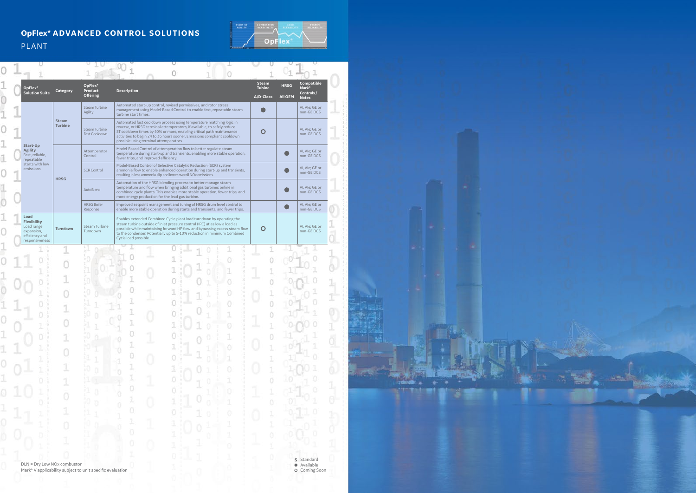### **OpFlex\* ADVANCED CONTROL SOLUTIONS** PLANT



|                                                                          |                                |                                                           |                                                                                                                                                                                                                                                                           |                                                                                                                                                                                                                                                                                                            |  |   | <b>Steam</b>               |                               | <b>Compatible</b>                  |
|--------------------------------------------------------------------------|--------------------------------|-----------------------------------------------------------|---------------------------------------------------------------------------------------------------------------------------------------------------------------------------------------------------------------------------------------------------------------------------|------------------------------------------------------------------------------------------------------------------------------------------------------------------------------------------------------------------------------------------------------------------------------------------------------------|--|---|----------------------------|-------------------------------|------------------------------------|
| OpFlex*<br><b>Solution Suite</b>                                         | <b>Category</b>                | OpFlex*<br>Product<br><b>Offering</b>                     | <b>Description</b>                                                                                                                                                                                                                                                        |                                                                                                                                                                                                                                                                                                            |  |   | <b>Tubine</b><br>A/D-Class | <b>HRSG</b><br><b>All OEM</b> | Mark*<br>Controls/<br><b>Notes</b> |
|                                                                          |                                | Steam Turbine<br>Agility                                  | turbine start times.                                                                                                                                                                                                                                                      | Automated start-up control, revised permissives, and rotor stress<br>management using Model-Based Control to enable fast, repeatable steam                                                                                                                                                                 |  |   |                            |                               | VI, VIe; GE or<br>non-GE DCS       |
|                                                                          | <b>Steam</b><br><b>Turbine</b> | <b>Steam Turbine</b><br>Fast Cooldown                     | possible using terminal attemperators.                                                                                                                                                                                                                                    | Automated fast cooldown process using temperature matching logic in<br>reverse, or HRSG terminal attemperators, if available, to safely reduce<br>ST cooldown times by 50% or more, enabling critical path maintenance<br>activities to begin 24 to 36 hours sooner. Emissions compliant cooldown          |  |   | O                          |                               | VI, VIe; GE or<br>non-GE DCS       |
| Start-Up<br><b>Agility</b><br>Fast, reliable,<br>repeatable              |                                | Attemperator<br>Control                                   | fewer trips, and improved efficiency.                                                                                                                                                                                                                                     | Model-Based Control of attemperation flow to better regulate steam<br>temperature during start-up and transients, enabling more stable operation,                                                                                                                                                          |  |   |                            |                               | VI, VIe; GE or<br>non-GE DCS       |
| starts with low<br>emissions                                             |                                | <b>SCR Control</b>                                        | Model-Based Control of Selective Catalytic Reduction (SCR) system<br>ammonia flow to enable enhanced operation during start-up and transients,<br>resulting in less ammonia slip and lower overall NOx emissions.                                                         |                                                                                                                                                                                                                                                                                                            |  |   |                            |                               | VI, VIe; GE or<br>non-GE DCS       |
|                                                                          | <b>HRSG</b>                    | AutoBlend                                                 | Automation of the HRSG blending process to better manage steam<br>temperature and flow when bringing additional gas turbines online in<br>combined cycle plants. This enables more stable operation, fewer trips, and<br>more energy production for the lead gas turbine. |                                                                                                                                                                                                                                                                                                            |  |   |                            |                               | VI, VIe; GE or<br>non-GE DCS       |
|                                                                          |                                | <b>HRSG Boiler</b><br>Response                            |                                                                                                                                                                                                                                                                           | Improved setpoint management and tuning of HRSG drum level control to<br>enable more stable operation during starts and transients, and fewer trips.                                                                                                                                                       |  |   |                            |                               | VI, VIe; GE or<br>non-GE DCS       |
| Load<br><b>Flexibility</b><br>Load range<br>expansion,<br>efficiency and | Turndown                       | <b>Steam Turbine</b><br>Turndown                          | Cycle load possible.                                                                                                                                                                                                                                                      | Enables extended Combined Cycle plant load turndown by operating the<br>steam turbine outside of inlet pressure control (IPC) at as low a load as<br>possible while maintaining forward HP flow and bypassing excess steam flow<br>to the condenser. Potentially up to 5-10% reduction in minimum Combined |  |   | $\mathsf{O}$               |                               | VI, VIe; GE or<br>non-GE DCS       |
| responsiveness                                                           |                                |                                                           |                                                                                                                                                                                                                                                                           |                                                                                                                                                                                                                                                                                                            |  |   |                            |                               |                                    |
|                                                                          |                                |                                                           |                                                                                                                                                                                                                                                                           |                                                                                                                                                                                                                                                                                                            |  |   |                            |                               |                                    |
|                                                                          |                                |                                                           |                                                                                                                                                                                                                                                                           |                                                                                                                                                                                                                                                                                                            |  |   |                            |                               |                                    |
|                                                                          |                                |                                                           |                                                                                                                                                                                                                                                                           |                                                                                                                                                                                                                                                                                                            |  |   |                            |                               |                                    |
|                                                                          |                                |                                                           |                                                                                                                                                                                                                                                                           |                                                                                                                                                                                                                                                                                                            |  |   |                            |                               |                                    |
|                                                                          |                                |                                                           |                                                                                                                                                                                                                                                                           |                                                                                                                                                                                                                                                                                                            |  |   |                            |                               |                                    |
|                                                                          |                                |                                                           |                                                                                                                                                                                                                                                                           |                                                                                                                                                                                                                                                                                                            |  |   |                            |                               |                                    |
|                                                                          |                                |                                                           |                                                                                                                                                                                                                                                                           |                                                                                                                                                                                                                                                                                                            |  |   |                            |                               |                                    |
|                                                                          |                                |                                                           |                                                                                                                                                                                                                                                                           |                                                                                                                                                                                                                                                                                                            |  | ö | 1                          |                               |                                    |
|                                                                          |                                |                                                           |                                                                                                                                                                                                                                                                           |                                                                                                                                                                                                                                                                                                            |  |   |                            |                               |                                    |
|                                                                          |                                |                                                           |                                                                                                                                                                                                                                                                           |                                                                                                                                                                                                                                                                                                            |  |   |                            |                               |                                    |
|                                                                          | 1                              |                                                           | 1<br>0                                                                                                                                                                                                                                                                    |                                                                                                                                                                                                                                                                                                            |  |   | ö                          |                               |                                    |
|                                                                          |                                |                                                           | 1                                                                                                                                                                                                                                                                         |                                                                                                                                                                                                                                                                                                            |  |   |                            |                               |                                    |
|                                                                          |                                |                                                           | o                                                                                                                                                                                                                                                                         |                                                                                                                                                                                                                                                                                                            |  |   | 0                          |                               |                                    |
|                                                                          |                                |                                                           |                                                                                                                                                                                                                                                                           |                                                                                                                                                                                                                                                                                                            |  |   | J,                         |                               |                                    |
|                                                                          |                                |                                                           | ō                                                                                                                                                                                                                                                                         |                                                                                                                                                                                                                                                                                                            |  |   |                            |                               |                                    |
|                                                                          |                                |                                                           |                                                                                                                                                                                                                                                                           |                                                                                                                                                                                                                                                                                                            |  |   |                            |                               |                                    |
|                                                                          |                                |                                                           |                                                                                                                                                                                                                                                                           |                                                                                                                                                                                                                                                                                                            |  |   |                            |                               |                                    |
| DLN = Dry Low NOx combustor                                              |                                | Mark* V applicability subject to unit specific evaluation |                                                                                                                                                                                                                                                                           |                                                                                                                                                                                                                                                                                                            |  |   |                            |                               | S Standard<br>· Available          |
|                                                                          |                                |                                                           |                                                                                                                                                                                                                                                                           |                                                                                                                                                                                                                                                                                                            |  |   |                            |                               | O Coming Soon                      |



rdentities on #